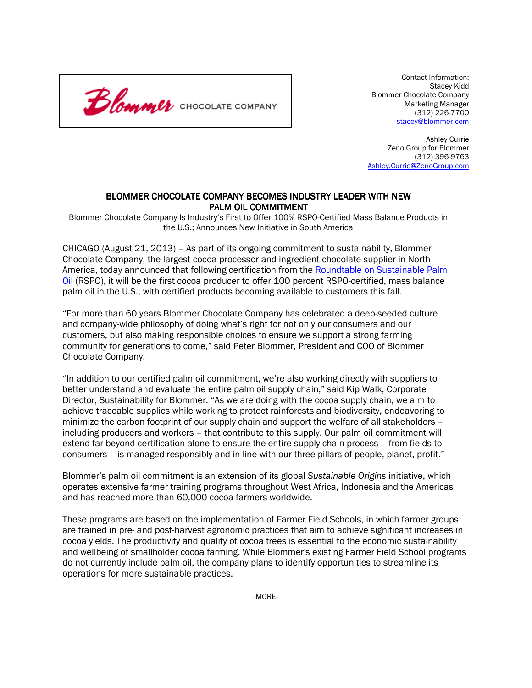

 Contact Information: Stacey Kidd Blommer Chocolate Company Marketing Manager (312) 226-7700 stacey@blommer.com

Ashley Currie Zeno Group for Blommer (312) 396-9763 Ashley.Currie@ZenoGroup.com

## BLOMMER CHOCOLATE COMPANY BECOMES INDUSTRY LEADER WITH NEW PALM OIL COMMITMENT

Blommer Chocolate Company Is Industry's First to Offer 100% RSPO-Certified Mass Balance Products in the U.S.; Announces New Initiative in South America

CHICAGO (August 21, 2013) – As part of its ongoing commitment to sustainability, Blommer Chocolate Company, the largest cocoa processor and ingredient chocolate supplier in North America, today announced that following certification from the Roundtable on Sustainable Palm Oil (RSPO), it will be the first cocoa producer to offer 100 percent RSPO-certified, mass balance palm oil in the U.S., with certified products becoming available to customers this fall.

"For more than 60 years Blommer Chocolate Company has celebrated a deep-seeded culture and company-wide philosophy of doing what's right for not only our consumers and our customers, but also making responsible choices to ensure we support a strong farming community for generations to come," said Peter Blommer, President and COO of Blommer Chocolate Company.

"In addition to our certified palm oil commitment, we're also working directly with suppliers to better understand and evaluate the entire palm oil supply chain," said Kip Walk, Corporate Director, Sustainability for Blommer. "As we are doing with the cocoa supply chain, we aim to achieve traceable supplies while working to protect rainforests and biodiversity, endeavoring to minimize the carbon footprint of our supply chain and support the welfare of all stakeholders – including producers and workers – that contribute to this supply. Our palm oil commitment will extend far beyond certification alone to ensure the entire supply chain process – from fields to consumers – is managed responsibly and in line with our three pillars of people, planet, profit."

Blommer's palm oil commitment is an extension of its global Sustainable Origins initiative, which operates extensive farmer training programs throughout West Africa, Indonesia and the Americas and has reached more than 60,000 cocoa farmers worldwide.

These programs are based on the implementation of Farmer Field Schools, in which farmer groups are trained in pre- and post-harvest agronomic practices that aim to achieve significant increases in cocoa yields. The productivity and quality of cocoa trees is essential to the economic sustainability and wellbeing of smallholder cocoa farming. While Blommer's existing Farmer Field School programs do not currently include palm oil, the company plans to identify opportunities to streamline its operations for more sustainable practices.

-MORE-